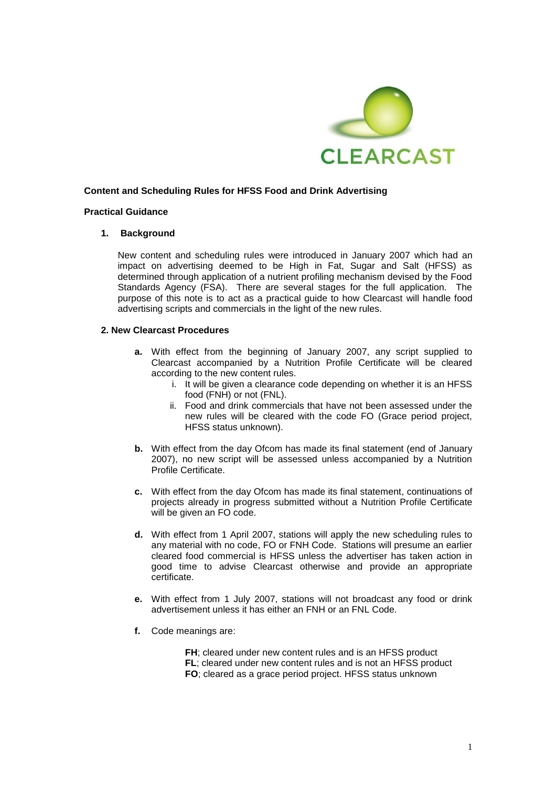

# **Content and Scheduling Rules for HFSS Food and Drink Advertising**

## **Practical Guidance**

## **1. Background**

New content and scheduling rules were introduced in January 2007 which had an impact on advertising deemed to be High in Fat, Sugar and Salt (HFSS) as determined through application of a nutrient profiling mechanism devised by the Food Standards Agency (FSA). There are several stages for the full application. The purpose of this note is to act as a practical guide to how Clearcast will handle food advertising scripts and commercials in the light of the new rules.

## **2. New Clearcast Procedures**

- **a.** With effect from the beginning of January 2007, any script supplied to Clearcast accompanied by a Nutrition Profile Certificate will be cleared according to the new content rules.
	- i. It will be given a clearance code depending on whether it is an HFSS food (FNH) or not (FNL).
	- ii. Food and drink commercials that have not been assessed under the new rules will be cleared with the code FO (Grace period project, HFSS status unknown).
- **b.** With effect from the day Ofcom has made its final statement (end of January 2007), no new script will be assessed unless accompanied by a Nutrition Profile Certificate.
- **c.** With effect from the day Ofcom has made its final statement, continuations of projects already in progress submitted without a Nutrition Profile Certificate will be given an FO code.
- **d.** With effect from 1 April 2007, stations will apply the new scheduling rules to any material with no code, FO or FNH Code. Stations will presume an earlier cleared food commercial is HFSS unless the advertiser has taken action in good time to advise Clearcast otherwise and provide an appropriate certificate.
- **e.** With effect from 1 July 2007, stations will not broadcast any food or drink advertisement unless it has either an FNH or an FNL Code.
- **f.** Code meanings are:

**FH**; cleared under new content rules and is an HFSS product **FL**; cleared under new content rules and is not an HFSS product **FO**; cleared as a grace period project. HFSS status unknown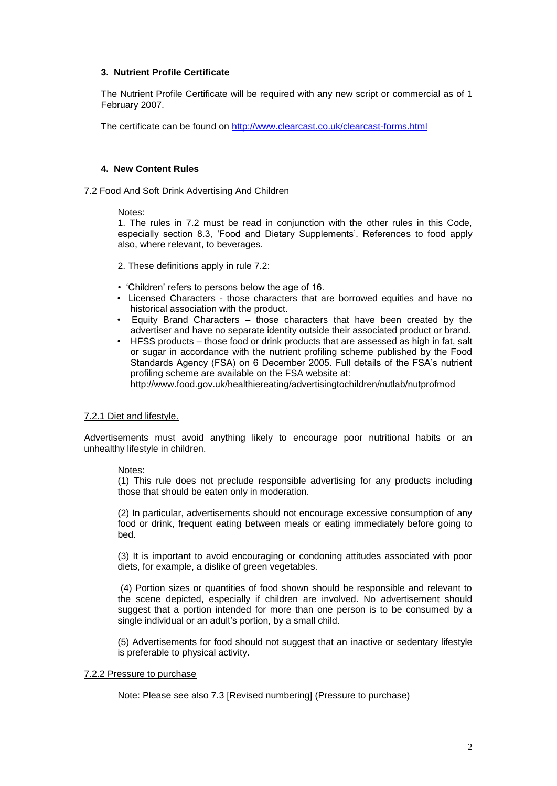# **3. Nutrient Profile Certificate**

The Nutrient Profile Certificate will be required with any new script or commercial as of 1 February 2007.

The certificate can be found on<http://www.clearcast.co.uk/clearcast-forms.html>

# **4. New Content Rules**

## 7.2 Food And Soft Drink Advertising And Children

## Notes:

1. The rules in 7.2 must be read in conjunction with the other rules in this Code, especially section 8.3, "Food and Dietary Supplements". References to food apply also, where relevant, to beverages.

2. These definitions apply in rule 7.2:

- "Children" refers to persons below the age of 16.
- Licensed Characters those characters that are borrowed equities and have no historical association with the product.
- Equity Brand Characters those characters that have been created by the advertiser and have no separate identity outside their associated product or brand.
- HFSS products those food or drink products that are assessed as high in fat, salt or sugar in accordance with the nutrient profiling scheme published by the Food Standards Agency (FSA) on 6 December 2005. Full details of the FSA"s nutrient profiling scheme are available on the FSA website at: http://www.food.gov.uk/healthiereating/advertisingtochildren/nutlab/nutprofmod

# 7.2.1 Diet and lifestyle.

Advertisements must avoid anything likely to encourage poor nutritional habits or an unhealthy lifestyle in children.

# Notes:

(1) This rule does not preclude responsible advertising for any products including those that should be eaten only in moderation.

(2) In particular, advertisements should not encourage excessive consumption of any food or drink, frequent eating between meals or eating immediately before going to bed.

(3) It is important to avoid encouraging or condoning attitudes associated with poor diets, for example, a dislike of green vegetables.

(4) Portion sizes or quantities of food shown should be responsible and relevant to the scene depicted, especially if children are involved. No advertisement should suggest that a portion intended for more than one person is to be consumed by a single individual or an adult's portion, by a small child.

(5) Advertisements for food should not suggest that an inactive or sedentary lifestyle is preferable to physical activity.

## 7.2.2 Pressure to purchase

Note: Please see also 7.3 [Revised numbering] (Pressure to purchase)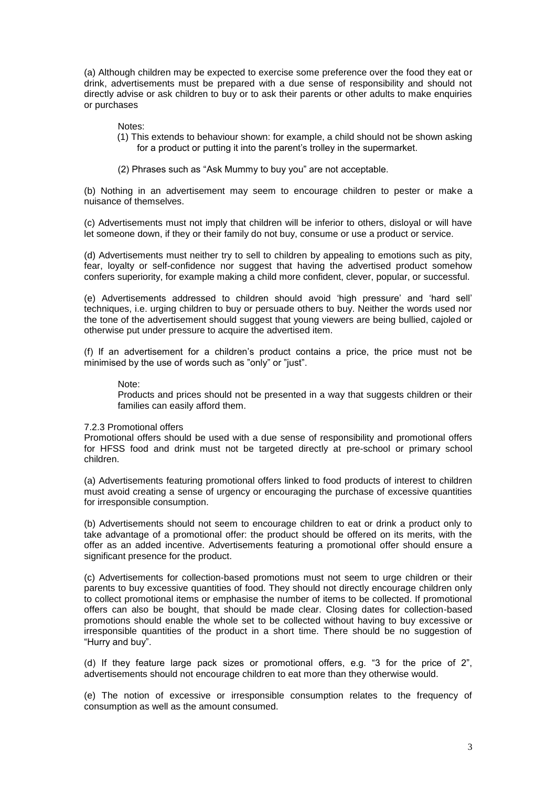(a) Although children may be expected to exercise some preference over the food they eat or drink, advertisements must be prepared with a due sense of responsibility and should not directly advise or ask children to buy or to ask their parents or other adults to make enquiries or purchases

#### Notes:

- (1) This extends to behaviour shown: for example, a child should not be shown asking for a product or putting it into the parent's trolley in the supermarket.
- (2) Phrases such as "Ask Mummy to buy you" are not acceptable.

(b) Nothing in an advertisement may seem to encourage children to pester or make a nuisance of themselves.

(c) Advertisements must not imply that children will be inferior to others, disloyal or will have let someone down, if they or their family do not buy, consume or use a product or service.

(d) Advertisements must neither try to sell to children by appealing to emotions such as pity, fear, loyalty or self-confidence nor suggest that having the advertised product somehow confers superiority, for example making a child more confident, clever, popular, or successful.

(e) Advertisements addressed to children should avoid "high pressure" and "hard sell" techniques, i.e. urging children to buy or persuade others to buy. Neither the words used nor the tone of the advertisement should suggest that young viewers are being bullied, cajoled or otherwise put under pressure to acquire the advertised item.

(f) If an advertisement for a children"s product contains a price, the price must not be minimised by the use of words such as "only" or "just".

#### Note:

Products and prices should not be presented in a way that suggests children or their families can easily afford them.

#### 7.2.3 Promotional offers

Promotional offers should be used with a due sense of responsibility and promotional offers for HFSS food and drink must not be targeted directly at pre-school or primary school children.

(a) Advertisements featuring promotional offers linked to food products of interest to children must avoid creating a sense of urgency or encouraging the purchase of excessive quantities for irresponsible consumption.

(b) Advertisements should not seem to encourage children to eat or drink a product only to take advantage of a promotional offer: the product should be offered on its merits, with the offer as an added incentive. Advertisements featuring a promotional offer should ensure a significant presence for the product.

(c) Advertisements for collection-based promotions must not seem to urge children or their parents to buy excessive quantities of food. They should not directly encourage children only to collect promotional items or emphasise the number of items to be collected. If promotional offers can also be bought, that should be made clear. Closing dates for collection-based promotions should enable the whole set to be collected without having to buy excessive or irresponsible quantities of the product in a short time. There should be no suggestion of "Hurry and buy".

(d) If they feature large pack sizes or promotional offers, e.g. "3 for the price of 2", advertisements should not encourage children to eat more than they otherwise would.

(e) The notion of excessive or irresponsible consumption relates to the frequency of consumption as well as the amount consumed.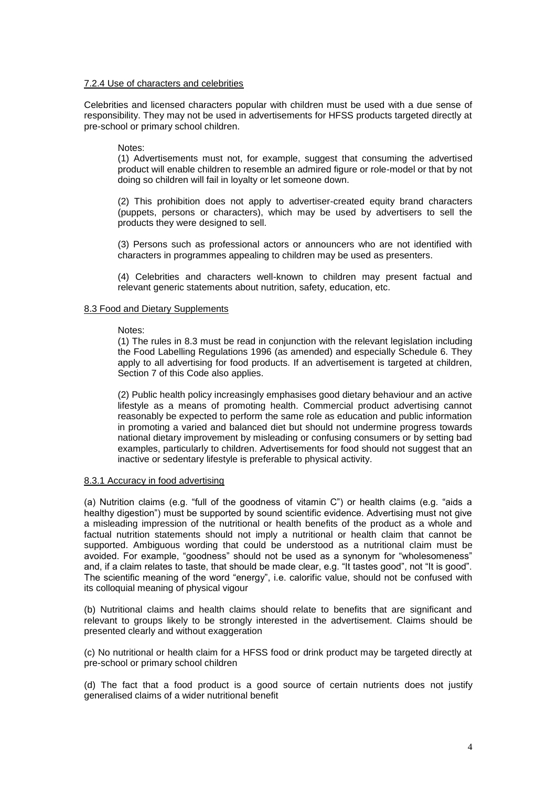## 7.2.4 Use of characters and celebrities

Celebrities and licensed characters popular with children must be used with a due sense of responsibility. They may not be used in advertisements for HFSS products targeted directly at pre-school or primary school children.

## Notes:

(1) Advertisements must not, for example, suggest that consuming the advertised product will enable children to resemble an admired figure or role-model or that by not doing so children will fail in loyalty or let someone down.

(2) This prohibition does not apply to advertiser-created equity brand characters (puppets, persons or characters), which may be used by advertisers to sell the products they were designed to sell.

(3) Persons such as professional actors or announcers who are not identified with characters in programmes appealing to children may be used as presenters.

(4) Celebrities and characters well-known to children may present factual and relevant generic statements about nutrition, safety, education, etc.

## 8.3 Food and Dietary Supplements

## Notes:

(1) The rules in 8.3 must be read in conjunction with the relevant legislation including the Food Labelling Regulations 1996 (as amended) and especially Schedule 6. They apply to all advertising for food products. If an advertisement is targeted at children, Section 7 of this Code also applies.

(2) Public health policy increasingly emphasises good dietary behaviour and an active lifestyle as a means of promoting health. Commercial product advertising cannot reasonably be expected to perform the same role as education and public information in promoting a varied and balanced diet but should not undermine progress towards national dietary improvement by misleading or confusing consumers or by setting bad examples, particularly to children. Advertisements for food should not suggest that an inactive or sedentary lifestyle is preferable to physical activity.

## 8.3.1 Accuracy in food advertising

(a) Nutrition claims (e.g. "full of the goodness of vitamin C") or health claims (e.g. "aids a healthy digestion") must be supported by sound scientific evidence. Advertising must not give a misleading impression of the nutritional or health benefits of the product as a whole and factual nutrition statements should not imply a nutritional or health claim that cannot be supported. Ambiguous wording that could be understood as a nutritional claim must be avoided. For example, "goodness" should not be used as a synonym for "wholesomeness" and, if a claim relates to taste, that should be made clear, e.g. "It tastes good", not "It is good". The scientific meaning of the word "energy", i.e. calorific value, should not be confused with its colloquial meaning of physical vigour

(b) Nutritional claims and health claims should relate to benefits that are significant and relevant to groups likely to be strongly interested in the advertisement. Claims should be presented clearly and without exaggeration

(c) No nutritional or health claim for a HFSS food or drink product may be targeted directly at pre-school or primary school children

(d) The fact that a food product is a good source of certain nutrients does not justify generalised claims of a wider nutritional benefit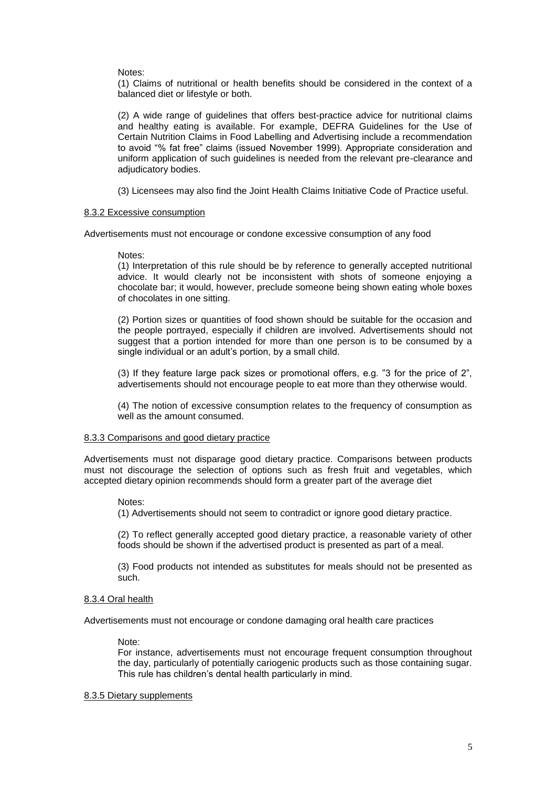#### Notes:

(1) Claims of nutritional or health benefits should be considered in the context of a balanced diet or lifestyle or both.

(2) A wide range of guidelines that offers best-practice advice for nutritional claims and healthy eating is available. For example, DEFRA Guidelines for the Use of Certain Nutrition Claims in Food Labelling and Advertising include a recommendation to avoid "% fat free" claims (issued November 1999). Appropriate consideration and uniform application of such guidelines is needed from the relevant pre-clearance and adjudicatory bodies.

(3) Licensees may also find the Joint Health Claims Initiative Code of Practice useful.

#### 8.3.2 Excessive consumption

Advertisements must not encourage or condone excessive consumption of any food

#### Notes:

(1) Interpretation of this rule should be by reference to generally accepted nutritional advice. It would clearly not be inconsistent with shots of someone enjoying a chocolate bar; it would, however, preclude someone being shown eating whole boxes of chocolates in one sitting.

(2) Portion sizes or quantities of food shown should be suitable for the occasion and the people portrayed, especially if children are involved. Advertisements should not suggest that a portion intended for more than one person is to be consumed by a single individual or an adult's portion, by a small child.

(3) If they feature large pack sizes or promotional offers, e.g. "3 for the price of 2", advertisements should not encourage people to eat more than they otherwise would.

(4) The notion of excessive consumption relates to the frequency of consumption as well as the amount consumed.

#### 8.3.3 Comparisons and good dietary practice

Advertisements must not disparage good dietary practice. Comparisons between products must not discourage the selection of options such as fresh fruit and vegetables, which accepted dietary opinion recommends should form a greater part of the average diet

## Notes:

(1) Advertisements should not seem to contradict or ignore good dietary practice.

(2) To reflect generally accepted good dietary practice, a reasonable variety of other foods should be shown if the advertised product is presented as part of a meal.

(3) Food products not intended as substitutes for meals should not be presented as such.

## 8.3.4 Oral health

Advertisements must not encourage or condone damaging oral health care practices

Note:

For instance, advertisements must not encourage frequent consumption throughout the day, particularly of potentially cariogenic products such as those containing sugar. This rule has children"s dental health particularly in mind.

#### 8.3.5 Dietary supplements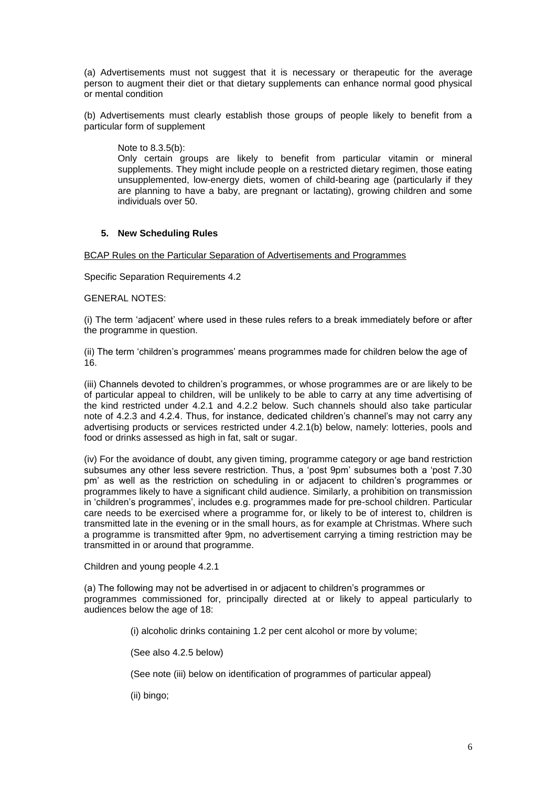(a) Advertisements must not suggest that it is necessary or therapeutic for the average person to augment their diet or that dietary supplements can enhance normal good physical or mental condition

(b) Advertisements must clearly establish those groups of people likely to benefit from a particular form of supplement

Note to 8.3.5(b):

Only certain groups are likely to benefit from particular vitamin or mineral supplements. They might include people on a restricted dietary regimen, those eating unsupplemented, low-energy diets, women of child-bearing age (particularly if they are planning to have a baby, are pregnant or lactating), growing children and some individuals over 50.

# **5. New Scheduling Rules**

BCAP Rules on the Particular Separation of Advertisements and Programmes

Specific Separation Requirements 4.2

# GENERAL NOTES:

(i) The term "adjacent" where used in these rules refers to a break immediately before or after the programme in question.

(ii) The term "children"s programmes" means programmes made for children below the age of 16.

(iii) Channels devoted to children"s programmes, or whose programmes are or are likely to be of particular appeal to children, will be unlikely to be able to carry at any time advertising of the kind restricted under 4.2.1 and 4.2.2 below. Such channels should also take particular note of 4.2.3 and 4.2.4. Thus, for instance, dedicated children"s channel"s may not carry any advertising products or services restricted under 4.2.1(b) below, namely: lotteries, pools and food or drinks assessed as high in fat, salt or sugar.

(iv) For the avoidance of doubt, any given timing, programme category or age band restriction subsumes any other less severe restriction. Thus, a "post 9pm" subsumes both a "post 7.30 pm" as well as the restriction on scheduling in or adjacent to children"s programmes or programmes likely to have a significant child audience. Similarly, a prohibition on transmission in "children"s programmes", includes e.g. programmes made for pre-school children. Particular care needs to be exercised where a programme for, or likely to be of interest to, children is transmitted late in the evening or in the small hours, as for example at Christmas. Where such a programme is transmitted after 9pm, no advertisement carrying a timing restriction may be transmitted in or around that programme.

Children and young people 4.2.1

(a) The following may not be advertised in or adjacent to children"s programmes or programmes commissioned for, principally directed at or likely to appeal particularly to audiences below the age of 18:

(i) alcoholic drinks containing 1.2 per cent alcohol or more by volume;

(See also 4.2.5 below)

(See note (iii) below on identification of programmes of particular appeal)

(ii) bingo;